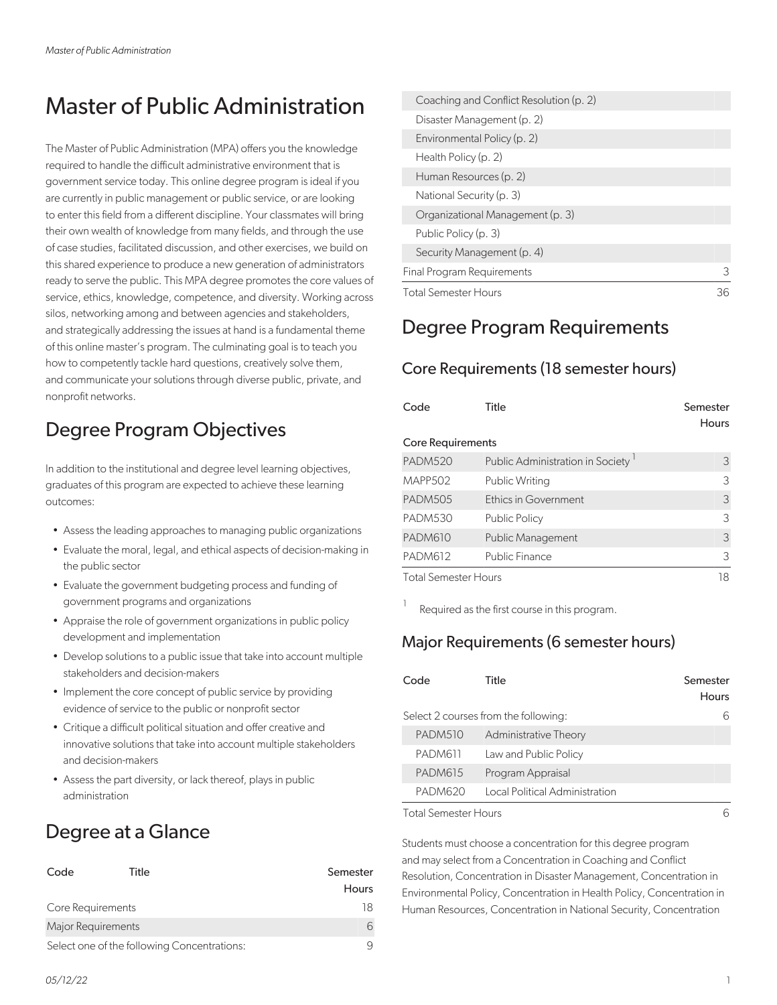# Master of Public Administration

The Master of Public Administration (MPA) offers you the knowledge required to handle the difficult administrative environment that is government service today. This online degree program is ideal if you are currently in public management or public service, or are looking to enter this field from a different discipline. Your classmates will bring their own wealth of knowledge from many fields, and through the use of case studies, facilitated discussion, and other exercises, we build on this shared experience to produce a new generation of administrators ready to serve the public. This MPA degree promotes the core values of service, ethics, knowledge, competence, and diversity. Working across silos, networking among and between agencies and stakeholders, and strategically addressing the issues at hand is a fundamental theme of this online master's program. The culminating goal is to teach you how to competently tackle hard questions, creatively solve them, and communicate your solutions through diverse public, private, and nonprofit networks.

## Degree Program Objectives

In addition to the institutional and degree level learning objectives, graduates of this program are expected to achieve these learning outcomes:

- Assess the leading approaches to managing public organizations
- Evaluate the moral, legal, and ethical aspects of decision-making in the public sector
- Evaluate the government budgeting process and funding of government programs and organizations
- Appraise the role of government organizations in public policy development and implementation
- Develop solutions to a public issue that take into account multiple stakeholders and decision-makers
- Implement the core concept of public service by providing evidence of service to the public or nonprofit sector
- Critique a difficult political situation and offer creative and innovative solutions that take into account multiple stakeholders and decision-makers
- Assess the part diversity, or lack thereof, plays in public administration

### Degree at a Glance

| Code                                        | Title | Semester<br><b>Hours</b> |
|---------------------------------------------|-------|--------------------------|
| Core Requirements                           |       | 18                       |
| Major Requirements                          |       | 6                        |
| Select one of the following Concentrations: |       |                          |

| <b>Total Semester Hours</b>             | 36 |
|-----------------------------------------|----|
| Final Program Requirements              | 3  |
| Security Management (p. 4)              |    |
| Public Policy (p. 3)                    |    |
| Organizational Management (p. 3)        |    |
| National Security (p. 3)                |    |
| Human Resources (p. 2)                  |    |
| Health Policy (p. 2)                    |    |
| Environmental Policy (p. 2)             |    |
| Disaster Management (p. 2)              |    |
| Coaching and Conflict Resolution (p. 2) |    |

### Degree Program Requirements

#### Core Requirements (18 semester hours)

| Code                        | Title                                         | Semester<br><b>Hours</b> |
|-----------------------------|-----------------------------------------------|--------------------------|
| <b>Core Requirements</b>    |                                               |                          |
| <b>PADM520</b>              | Public Administration in Society <sup>1</sup> | 3                        |
| <b>MAPP502</b>              | <b>Public Writing</b>                         | 3                        |
| <b>PADM505</b>              | Ethics in Government                          | 3                        |
| <b>PADM530</b>              | <b>Public Policy</b>                          | 3                        |
| <b>PADM610</b>              | <b>Public Management</b>                      | 3                        |
| <b>PADM612</b>              | Public Finance                                | 3                        |
| <b>Total Semester Hours</b> | 18                                            |                          |

Required as the first course in this program.

#### Major Requirements (6 semester hours)

| Code           | Title                                | Semester<br>Hours |
|----------------|--------------------------------------|-------------------|
|                | Select 2 courses from the following: | 6                 |
| PADM510        | Administrative Theory                |                   |
| PADM611        | Law and Public Policy                |                   |
| <b>PADM615</b> | Program Appraisal                    |                   |
| PADM620        | Local Political Administration       |                   |
| — <u>a</u> a   |                                      |                   |

Total Semester Hours 6

1

Students must choose a concentration for this degree program and may select from a Concentration in Coaching and Conflict Resolution, Concentration in Disaster Management, Concentration in Environmental Policy, Concentration in Health Policy, Concentration in Human Resources, Concentration in National Security, Concentration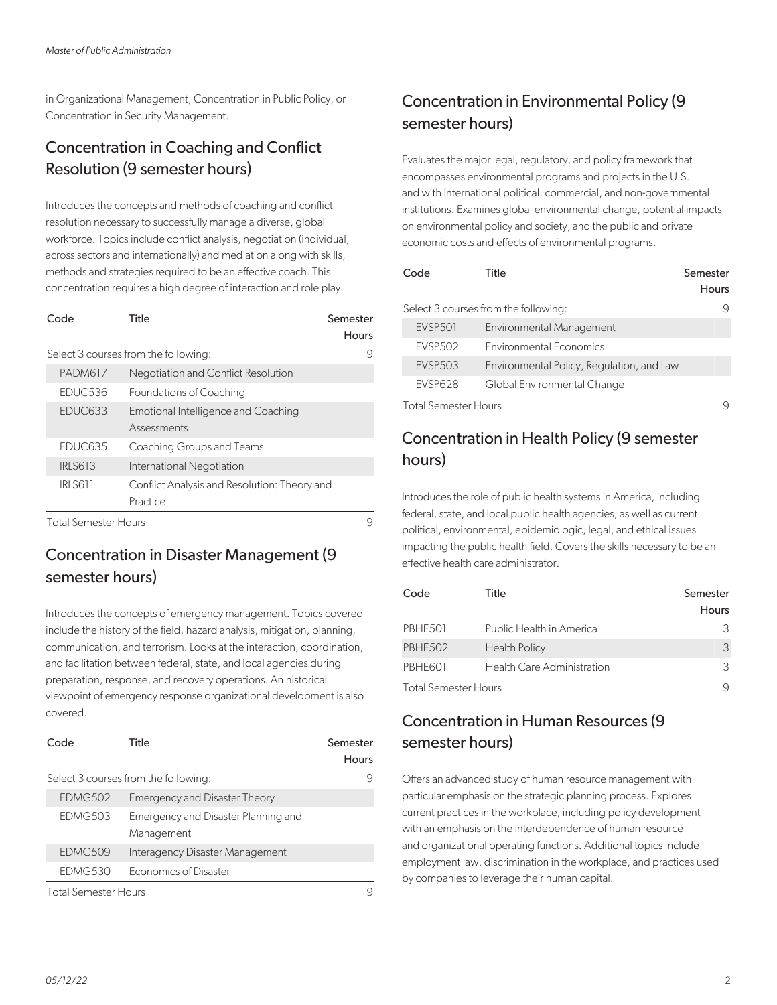in Organizational Management, Concentration in Public Policy, or Concentration in Security Management.

#### Concentration in Coaching and Conflict Resolution (9 semester hours)

Introduces the concepts and methods of coaching and conflict resolution necessary to successfully manage a diverse, global workforce. Topics include conflict analysis, negotiation (individual, across sectors and internationally) and mediation along with skills, methods and strategies required to be an effective coach. This concentration requires a high degree of interaction and role play.

| Code                 | Title                                                    | Semester<br>Hours |
|----------------------|----------------------------------------------------------|-------------------|
|                      | Select 3 courses from the following:                     | 9                 |
| <b>PADM617</b>       | Negotiation and Conflict Resolution                      |                   |
| EDUC536              | Foundations of Coaching                                  |                   |
| EDUC633              | Emotional Intelligence and Coaching<br>Assessments       |                   |
| EDUC635              | Coaching Groups and Teams                                |                   |
| <b>IRLS613</b>       | International Negotiation                                |                   |
| <b>IRLS611</b>       | Conflict Analysis and Resolution: Theory and<br>Practice |                   |
| Total Samactar Houre |                                                          | Ο                 |

I otal Semester Hours

#### Concentration in Disaster Management (9 semester hours)

Introduces the concepts of emergency management. Topics covered include the history of the field, hazard analysis, mitigation, planning, communication, and terrorism. Looks at the interaction, coordination, and facilitation between federal, state, and local agencies during preparation, response, and recovery operations. An historical viewpoint of emergency response organizational development is also covered.

| Code    | Title                                             | Semester<br>Hours |
|---------|---------------------------------------------------|-------------------|
|         | Select 3 courses from the following:              |                   |
| EDMG502 | <b>Emergency and Disaster Theory</b>              |                   |
| EDMG503 | Emergency and Disaster Planning and<br>Management |                   |
| EDMG509 | Interagency Disaster Management                   |                   |
| EDMG530 | <b>Economics of Disaster</b>                      |                   |
|         |                                                   |                   |

Total Semester Hours 9

#### Concentration in Environmental Policy (9 semester hours)

Evaluates the major legal, regulatory, and policy framework that encompasses environmental programs and projects in the U.S. and with international political, commercial, and non-governmental institutions. Examines global environmental change, potential impacts on environmental policy and society, and the public and private economic costs and effects of environmental programs.

| Code                 | Title                                     | Semester<br><b>Hours</b> |
|----------------------|-------------------------------------------|--------------------------|
|                      | Select 3 courses from the following:      |                          |
| <b>EVSP501</b>       | <b>Environmental Management</b>           |                          |
| <b>EVSP502</b>       | <b>Environmental Economics</b>            |                          |
| <b>EVSP503</b>       | Environmental Policy, Regulation, and Law |                          |
| <b>EVSP628</b>       | Global Environmental Change               |                          |
| Total Semester Hours |                                           |                          |

#### Concentration in Health Policy (9 semester hours)

Introduces the role of public health systems in America, including federal, state, and local public health agencies, as well as current political, environmental, epidemiologic, legal, and ethical issues impacting the public health field. Covers the skills necessary to be an effective health care administrator.

| Code                 | Title                      | Semester     |
|----------------------|----------------------------|--------------|
|                      |                            | <b>Hours</b> |
| PBHE501              | Public Health in America   | 3            |
| PBHE502              | <b>Health Policy</b>       | 3            |
| PBHE601              | Health Care Administration | 3            |
| Total Semester Hours |                            |              |

Total Semester Hours 9

#### Concentration in Human Resources (9 semester hours)

Offers an advanced study of human resource management with particular emphasis on the strategic planning process. Explores current practices in the workplace, including policy development with an emphasis on the interdependence of human resource and organizational operating functions. Additional topics include employment law, discrimination in the workplace, and practices used by companies to leverage their human capital.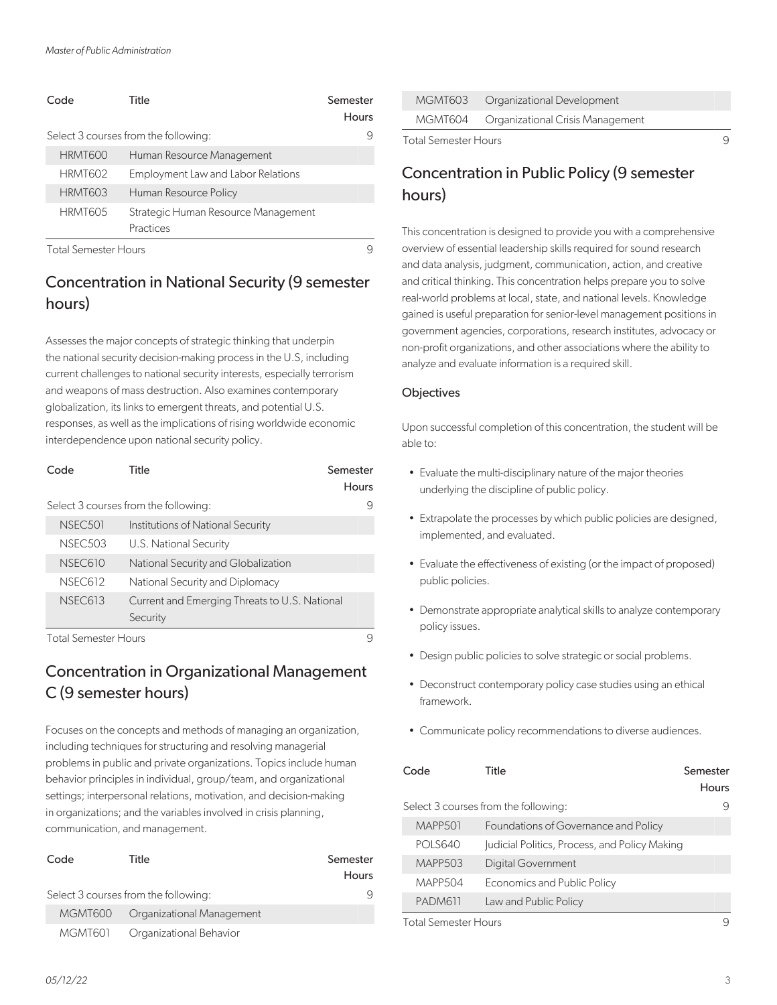| Code                 | Title                                | Semester<br>Hours |
|----------------------|--------------------------------------|-------------------|
|                      | Select 3 courses from the following: | 9                 |
| HRMT600              | Human Resource Management            |                   |
| HRMT602              | Employment Law and Labor Relations   |                   |
| <b>HRMT603</b>       | Human Resource Policy                |                   |
| HRMT605              | Strategic Human Resource Management  |                   |
|                      | Practices                            |                   |
| Total Samester Hours |                                      | a                 |

#### Concentration in National Security (9 semester hours)

Assesses the major concepts of strategic thinking that underpin the national security decision-making process in the U.S, including current challenges to national security interests, especially terrorism and weapons of mass destruction. Also examines contemporary globalization, its links to emergent threats, and potential U.S. responses, as well as the implications of rising worldwide economic interdependence upon national security policy.

| Code                 | Title                                         | Semester<br>Hours |
|----------------------|-----------------------------------------------|-------------------|
|                      |                                               |                   |
|                      | Select 3 courses from the following:          | 9                 |
| NSEC <sub>501</sub>  | Institutions of National Security             |                   |
| <b>NSEC503</b>       | U.S. National Security                        |                   |
| N.SEC.610            | National Security and Globalization           |                   |
| <b>NSEC612</b>       | National Security and Diplomacy               |                   |
| <b>NSEC613</b>       | Current and Emerging Threats to U.S. National |                   |
|                      | Security                                      |                   |
| Total Semester Hours |                                               |                   |

#### Concentration in Organizational Management C (9 semester hours)

Focuses on the concepts and methods of managing an organization, including techniques for structuring and resolving managerial problems in public and private organizations. Topics include human behavior principles in individual, group/team, and organizational settings; interpersonal relations, motivation, and decision-making in organizations; and the variables involved in crisis planning, communication, and management.

| Code    | Title                                | Semester<br><b>Hours</b> |
|---------|--------------------------------------|--------------------------|
|         | Select 3 courses from the following: | 9                        |
| MGMT600 | Organizational Management            |                          |
| MGMT601 | Organizational Behavior              |                          |

|  | MGMT603 Organizational Development       |
|--|------------------------------------------|
|  | MGMT604 Organizational Crisis Management |

Total Semester Hours **9** 

#### Concentration in Public Policy (9 semester hours)

This concentration is designed to provide you with a comprehensive overview of essential leadership skills required for sound research and data analysis, judgment, communication, action, and creative and critical thinking. This concentration helps prepare you to solve real-world problems at local, state, and national levels. Knowledge gained is useful preparation for senior-level management positions in government agencies, corporations, research institutes, advocacy or non-profit organizations, and other associations where the ability to analyze and evaluate information is a required skill.

#### **Objectives**

Upon successful completion of this concentration, the student will be able to:

- Evaluate the multi-disciplinary nature of the major theories underlying the discipline of public policy.
- Extrapolate the processes by which public policies are designed, implemented, and evaluated.
- Evaluate the effectiveness of existing (or the impact of proposed) public policies.
- Demonstrate appropriate analytical skills to analyze contemporary policy issues.
- Design public policies to solve strategic or social problems.
- Deconstruct contemporary policy case studies using an ethical framework.
- Communicate policy recommendations to diverse audiences.

| Code           | Title                                         | Semester<br><b>Hours</b> |
|----------------|-----------------------------------------------|--------------------------|
|                | Select 3 courses from the following:          | 9                        |
| MAPP501        | Foundations of Governance and Policy          |                          |
| <b>POLS640</b> | Judicial Politics, Process, and Policy Making |                          |
| <b>MAPP503</b> | <b>Digital Government</b>                     |                          |
| <b>MAPP504</b> | <b>Economics and Public Policy</b>            |                          |
| PADM611        | Law and Public Policy                         |                          |
|                |                                               |                          |

Total Semester Hours 9